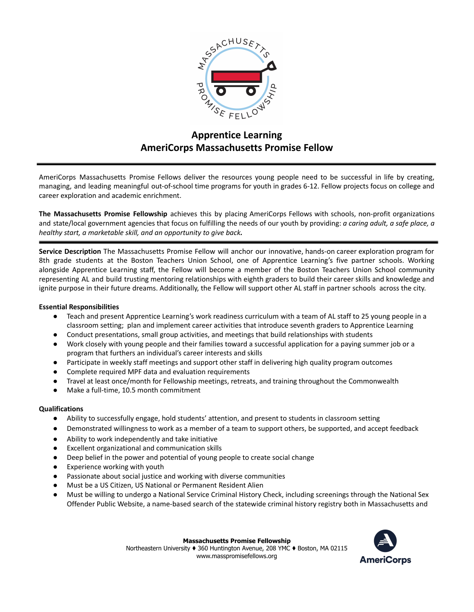

# **Apprentice Learning AmeriCorps Massachusetts Promise Fellow**

AmeriCorps Massachusetts Promise Fellows deliver the resources young people need to be successful in life by creating, managing, and leading meaningful out-of-school time programs for youth in grades 6-12. Fellow projects focus on college and career exploration and academic enrichment.

**The Massachusetts Promise Fellowship** achieves this by placing AmeriCorps Fellows with schools, non-profit organizations and state/local government agencies that focus on fulfilling the needs of our youth by providing: *a caring adult, a safe place, a healthy start, a marketable skill, and an opportunity to give back.*

**Service Description** The Massachusetts Promise Fellow will anchor our innovative, hands-on career exploration program for 8th grade students at the Boston Teachers Union School, one of Apprentice Learning's five partner schools. Working alongside Apprentice Learning staff, the Fellow will become a member of the Boston Teachers Union School community representing AL and build trusting mentoring relationships with eighth graders to build their career skills and knowledge and ignite purpose in their future dreams. Additionally, the Fellow will support other AL staff in partner schools across the city.

#### **Essential Responsibilities**

- Teach and present Apprentice Learning's work readiness curriculum with a team of AL staff to 25 young people in a classroom setting; plan and implement career activities that introduce seventh graders to Apprentice Learning
- Conduct presentations, small group activities, and meetings that build relationships with students
- Work closely with young people and their families toward a successful application for a paying summer job or a program that furthers an individual's career interests and skills
- Participate in weekly staff meetings and support other staff in delivering high quality program outcomes
- Complete required MPF data and evaluation requirements
- Travel at least once/month for Fellowship meetings, retreats, and training throughout the Commonwealth
- Make a full-time, 10.5 month commitment

#### **Qualifications**

- Ability to successfully engage, hold students' attention, and present to students in classroom setting
- Demonstrated willingness to work as a member of a team to support others, be supported, and accept feedback
- Ability to work independently and take initiative
- Excellent organizational and communication skills
- Deep belief in the power and potential of young people to create social change
- Experience working with youth
- Passionate about social justice and working with diverse communities
- Must be a US Citizen, US National or Permanent Resident Alien
- Must be willing to undergo a National Service Criminal History Check, including screenings through the National Sex Offender Public Website, a name-based search of the statewide criminal history registry both in Massachusetts and

**Massachusetts Promise Fellowship**

Northeastern University ♦ 360 Huntington Avenue, 208 YMC ♦ Boston, MA 02115 www.masspromisefellows.org